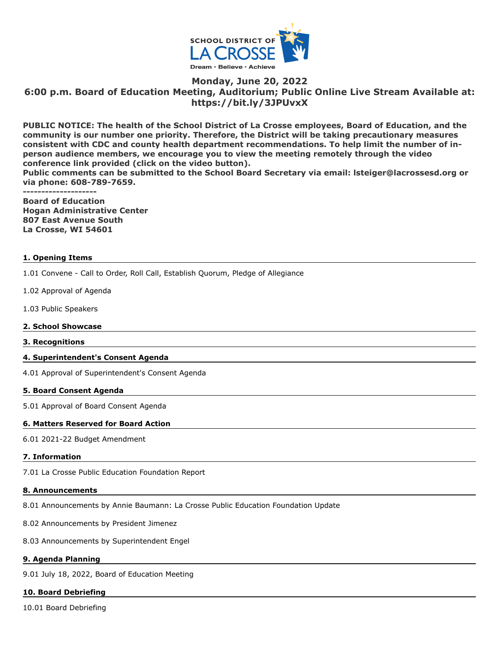

# **Monday, June 20, 2022 6:00 p.m. Board of Education Meeting, Auditorium; Public Online Live Stream Available at: https://bit.ly/3JPUvxX**

**PUBLIC NOTICE: The health of the School District of La Crosse employees, Board of Education, and the community is our number one priority. Therefore, the District will be taking precautionary measures consistent with CDC and county health department recommendations. To help limit the number of inperson audience members, we encourage you to view the meeting remotely through the video conference link provided (click on the video button).**

**Public comments can be submitted to the School Board Secretary via email: lsteiger@lacrossesd.org or via phone: 608-789-7659.**

**--------------------**

**Board of Education Hogan Administrative Center 807 East Avenue South La Crosse, WI 54601**

## **1. Opening Items**

1.01 Convene - Call to Order, Roll Call, Establish Quorum, Pledge of Allegiance

- 1.02 Approval of Agenda
- 1.03 Public Speakers

#### **2. School Showcase**

**3. Recognitions**

## **4. Superintendent's Consent Agenda**

4.01 Approval of Superintendent's Consent Agenda

#### **5. Board Consent Agenda**

5.01 Approval of Board Consent Agenda

## **6. Matters Reserved for Board Action**

6.01 2021-22 Budget Amendment

## **7. Information**

7.01 La Crosse Public Education Foundation Report

#### **8. Announcements**

8.01 Announcements by Annie Baumann: La Crosse Public Education Foundation Update

8.02 Announcements by President Jimenez

8.03 Announcements by Superintendent Engel

## **9. Agenda Planning**

9.01 July 18, 2022, Board of Education Meeting

#### **10. Board Debriefing**

10.01 Board Debriefing